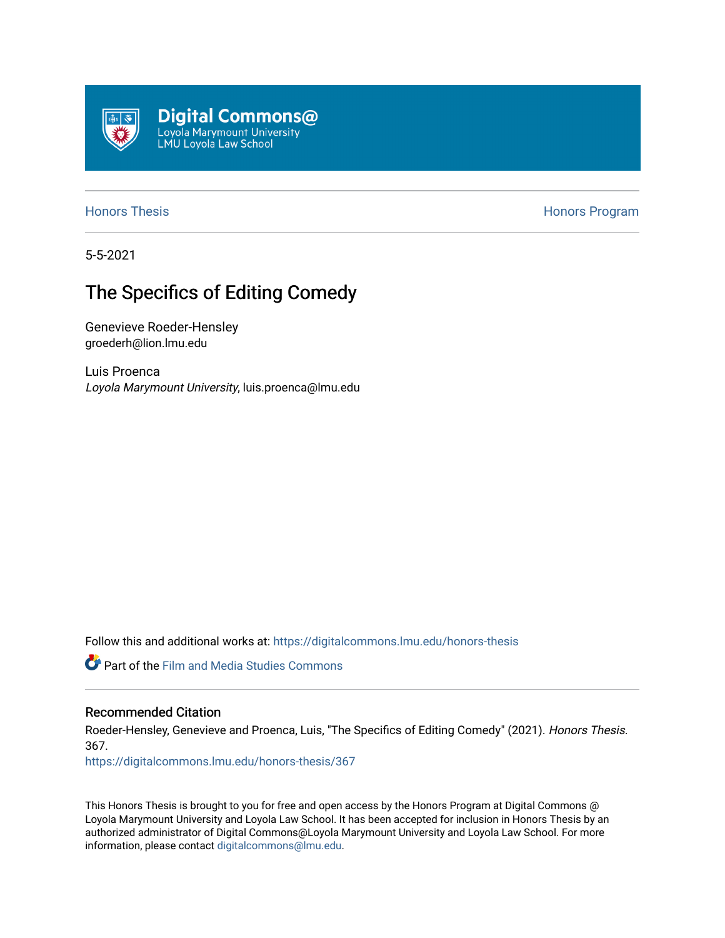

[Honors Thesis](https://digitalcommons.lmu.edu/honors-thesis) **Honors Honors** Program

5-5-2021

### The Specifics of Editing Comedy

Genevieve Roeder-Hensley groederh@lion.lmu.edu

Luis Proenca Loyola Marymount University, luis.proenca@lmu.edu

Follow this and additional works at: [https://digitalcommons.lmu.edu/honors-thesis](https://digitalcommons.lmu.edu/honors-thesis?utm_source=digitalcommons.lmu.edu%2Fhonors-thesis%2F367&utm_medium=PDF&utm_campaign=PDFCoverPages)

**Part of the Film and Media Studies Commons** 

### Recommended Citation

Roeder-Hensley, Genevieve and Proenca, Luis, "The Specifics of Editing Comedy" (2021). Honors Thesis. 367. [https://digitalcommons.lmu.edu/honors-thesis/367](https://digitalcommons.lmu.edu/honors-thesis/367?utm_source=digitalcommons.lmu.edu%2Fhonors-thesis%2F367&utm_medium=PDF&utm_campaign=PDFCoverPages) 

This Honors Thesis is brought to you for free and open access by the Honors Program at Digital Commons @ Loyola Marymount University and Loyola Law School. It has been accepted for inclusion in Honors Thesis by an authorized administrator of Digital Commons@Loyola Marymount University and Loyola Law School. For more information, please contact [digitalcommons@lmu.edu.](mailto:digitalcommons@lmu.edu)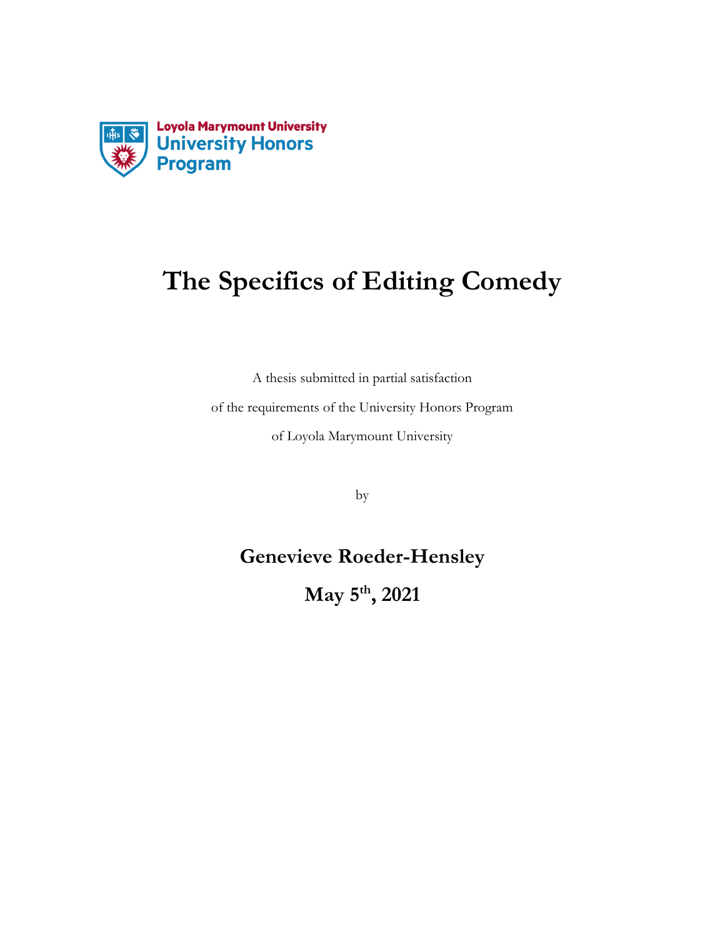

# **The Specifics of Editing Comedy**

A thesis submitted in partial satisfaction

of the requirements of the University Honors Program of Loyola Marymount University

by

## **Genevieve Roeder-Hensley**

**May 5th, 2021**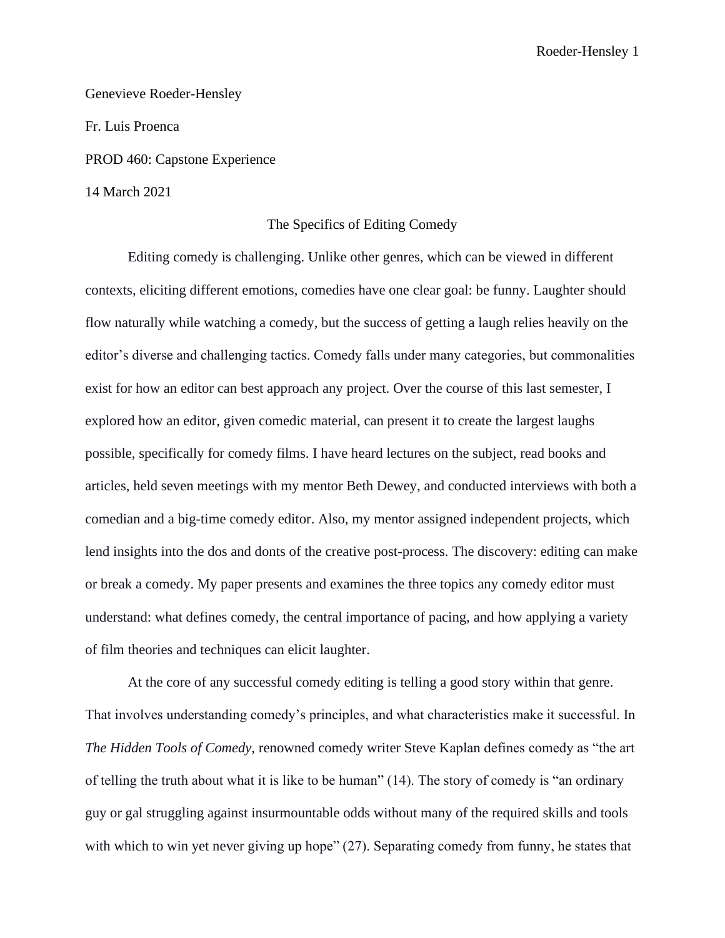Genevieve Roeder-Hensley

PROD 460: Capstone Experience

14 March 2021

Fr. Luis Proenca

#### The Specifics of Editing Comedy

Editing comedy is challenging. Unlike other genres, which can be viewed in different contexts, eliciting different emotions, comedies have one clear goal: be funny. Laughter should flow naturally while watching a comedy, but the success of getting a laugh relies heavily on the editor's diverse and challenging tactics. Comedy falls under many categories, but commonalities exist for how an editor can best approach any project. Over the course of this last semester, I explored how an editor, given comedic material, can present it to create the largest laughs possible, specifically for comedy films. I have heard lectures on the subject, read books and articles, held seven meetings with my mentor Beth Dewey, and conducted interviews with both a comedian and a big-time comedy editor. Also, my mentor assigned independent projects, which lend insights into the dos and donts of the creative post-process. The discovery: editing can make or break a comedy. My paper presents and examines the three topics any comedy editor must understand: what defines comedy, the central importance of pacing, and how applying a variety of film theories and techniques can elicit laughter.

At the core of any successful comedy editing is telling a good story within that genre. That involves understanding comedy's principles, and what characteristics make it successful. In *The Hidden Tools of Comedy,* renowned comedy writer Steve Kaplan defines comedy as "the art of telling the truth about what it is like to be human" (14). The story of comedy is "an ordinary guy or gal struggling against insurmountable odds without many of the required skills and tools with which to win yet never giving up hope" (27). Separating comedy from funny, he states that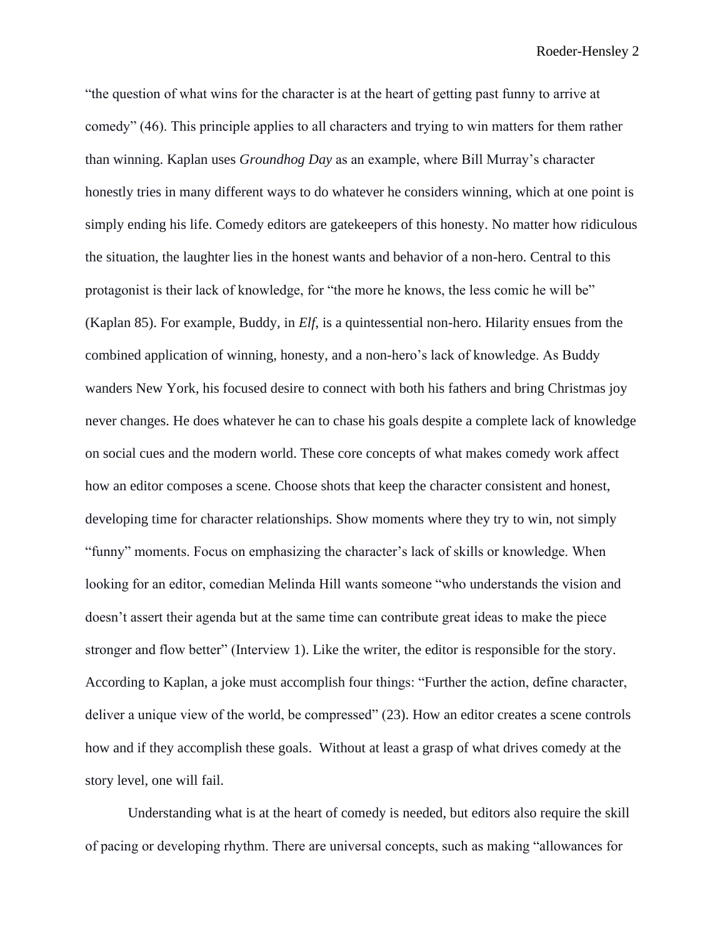"the question of what wins for the character is at the heart of getting past funny to arrive at comedy" (46). This principle applies to all characters and trying to win matters for them rather than winning. Kaplan uses *Groundhog Day* as an example, where Bill Murray's character honestly tries in many different ways to do whatever he considers winning, which at one point is simply ending his life. Comedy editors are gatekeepers of this honesty. No matter how ridiculous the situation, the laughter lies in the honest wants and behavior of a non-hero. Central to this protagonist is their lack of knowledge, for "the more he knows, the less comic he will be" (Kaplan 85). For example, Buddy, in *Elf*, is a quintessential non-hero. Hilarity ensues from the combined application of winning, honesty, and a non-hero's lack of knowledge. As Buddy wanders New York, his focused desire to connect with both his fathers and bring Christmas joy never changes. He does whatever he can to chase his goals despite a complete lack of knowledge on social cues and the modern world. These core concepts of what makes comedy work affect how an editor composes a scene. Choose shots that keep the character consistent and honest, developing time for character relationships. Show moments where they try to win, not simply "funny" moments. Focus on emphasizing the character's lack of skills or knowledge. When looking for an editor, comedian Melinda Hill wants someone "who understands the vision and doesn't assert their agenda but at the same time can contribute great ideas to make the piece stronger and flow better" (Interview 1). Like the writer, the editor is responsible for the story. According to Kaplan, a joke must accomplish four things: "Further the action, define character, deliver a unique view of the world, be compressed" (23). How an editor creates a scene controls how and if they accomplish these goals. Without at least a grasp of what drives comedy at the story level, one will fail.

Understanding what is at the heart of comedy is needed, but editors also require the skill of pacing or developing rhythm. There are universal concepts, such as making "allowances for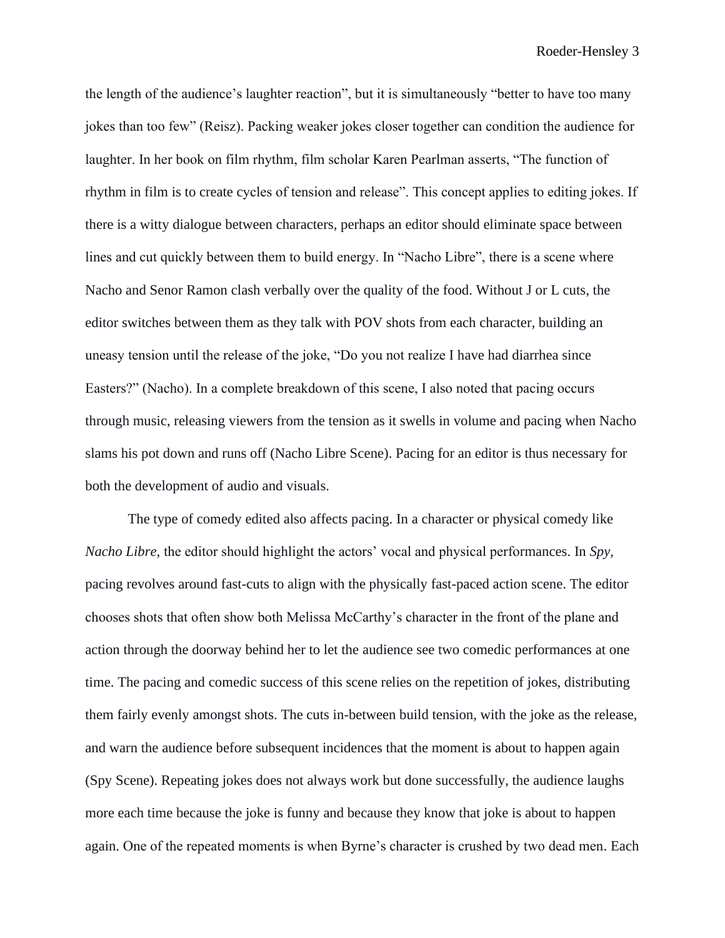the length of the audience's laughter reaction", but it is simultaneously "better to have too many jokes than too few" (Reisz). Packing weaker jokes closer together can condition the audience for laughter. In her book on film rhythm, film scholar Karen Pearlman asserts, "The function of rhythm in film is to create cycles of tension and release". This concept applies to editing jokes. If there is a witty dialogue between characters, perhaps an editor should eliminate space between lines and cut quickly between them to build energy. In "Nacho Libre", there is a scene where Nacho and Senor Ramon clash verbally over the quality of the food. Without J or L cuts, the editor switches between them as they talk with POV shots from each character, building an uneasy tension until the release of the joke, "Do you not realize I have had diarrhea since Easters?" (Nacho). In a complete breakdown of this scene, I also noted that pacing occurs through music, releasing viewers from the tension as it swells in volume and pacing when Nacho slams his pot down and runs off (Nacho Libre Scene). Pacing for an editor is thus necessary for both the development of audio and visuals.

The type of comedy edited also affects pacing. In a character or physical comedy like *Nacho Libre,* the editor should highlight the actors' vocal and physical performances. In *Spy,*  pacing revolves around fast-cuts to align with the physically fast-paced action scene. The editor chooses shots that often show both Melissa McCarthy's character in the front of the plane and action through the doorway behind her to let the audience see two comedic performances at one time. The pacing and comedic success of this scene relies on the repetition of jokes, distributing them fairly evenly amongst shots. The cuts in-between build tension, with the joke as the release, and warn the audience before subsequent incidences that the moment is about to happen again (Spy Scene). Repeating jokes does not always work but done successfully, the audience laughs more each time because the joke is funny and because they know that joke is about to happen again. One of the repeated moments is when Byrne's character is crushed by two dead men. Each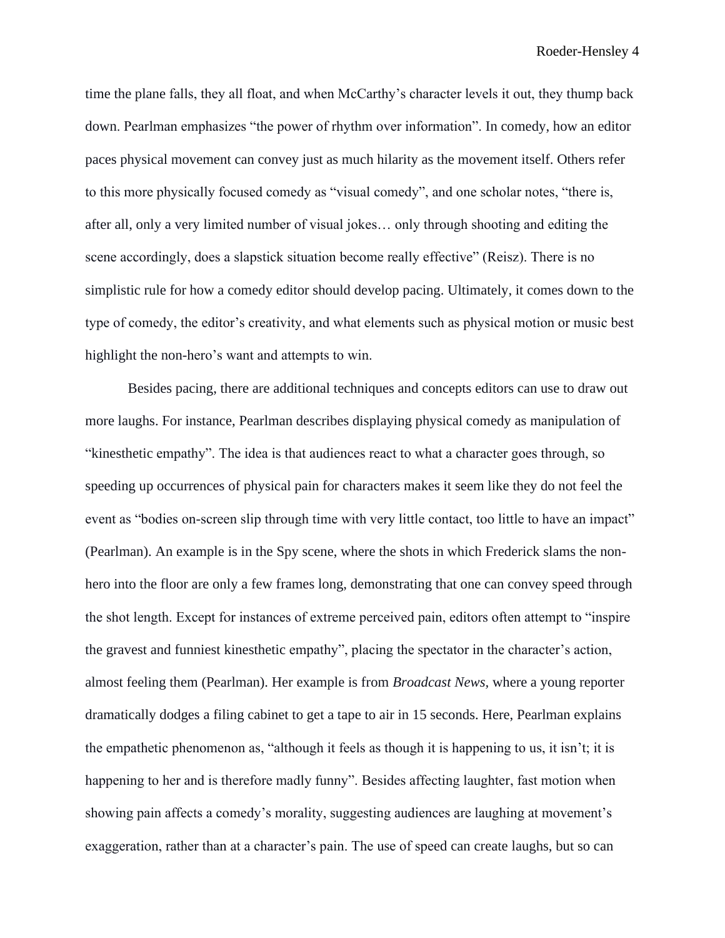time the plane falls, they all float, and when McCarthy's character levels it out, they thump back down. Pearlman emphasizes "the power of rhythm over information". In comedy, how an editor paces physical movement can convey just as much hilarity as the movement itself. Others refer to this more physically focused comedy as "visual comedy", and one scholar notes, "there is, after all, only a very limited number of visual jokes… only through shooting and editing the scene accordingly, does a slapstick situation become really effective" (Reisz). There is no simplistic rule for how a comedy editor should develop pacing. Ultimately, it comes down to the type of comedy, the editor's creativity, and what elements such as physical motion or music best highlight the non-hero's want and attempts to win.

Besides pacing, there are additional techniques and concepts editors can use to draw out more laughs. For instance, Pearlman describes displaying physical comedy as manipulation of "kinesthetic empathy". The idea is that audiences react to what a character goes through, so speeding up occurrences of physical pain for characters makes it seem like they do not feel the event as "bodies on-screen slip through time with very little contact, too little to have an impact" (Pearlman). An example is in the Spy scene, where the shots in which Frederick slams the nonhero into the floor are only a few frames long, demonstrating that one can convey speed through the shot length. Except for instances of extreme perceived pain, editors often attempt to "inspire the gravest and funniest kinesthetic empathy", placing the spectator in the character's action, almost feeling them (Pearlman). Her example is from *Broadcast News,* where a young reporter dramatically dodges a filing cabinet to get a tape to air in 15 seconds. Here, Pearlman explains the empathetic phenomenon as, "although it feels as though it is happening to us, it isn't; it is happening to her and is therefore madly funny". Besides affecting laughter, fast motion when showing pain affects a comedy's morality, suggesting audiences are laughing at movement's exaggeration, rather than at a character's pain. The use of speed can create laughs, but so can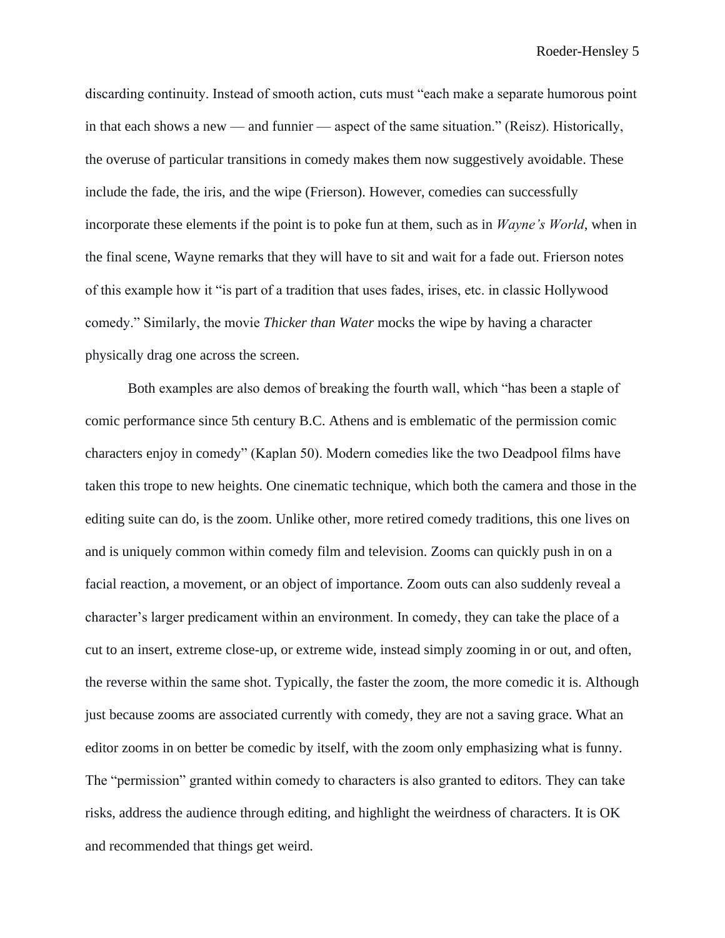discarding continuity. Instead of smooth action, cuts must "each make a separate humorous point in that each shows a new — and funnier — aspect of the same situation." (Reisz). Historically, the overuse of particular transitions in comedy makes them now suggestively avoidable. These include the fade, the iris, and the wipe (Frierson). However, comedies can successfully incorporate these elements if the point is to poke fun at them, such as in *Wayne's World*, when in the final scene, Wayne remarks that they will have to sit and wait for a fade out. Frierson notes of this example how it "is part of a tradition that uses fades, irises, etc. in classic Hollywood comedy." Similarly, the movie *Thicker than Water* mocks the wipe by having a character physically drag one across the screen.

Both examples are also demos of breaking the fourth wall, which "has been a staple of comic performance since 5th century B.C. Athens and is emblematic of the permission comic characters enjoy in comedy" (Kaplan 50). Modern comedies like the two Deadpool films have taken this trope to new heights. One cinematic technique, which both the camera and those in the editing suite can do, is the zoom. Unlike other, more retired comedy traditions, this one lives on and is uniquely common within comedy film and television. Zooms can quickly push in on a facial reaction, a movement, or an object of importance. Zoom outs can also suddenly reveal a character's larger predicament within an environment. In comedy, they can take the place of a cut to an insert, extreme close-up, or extreme wide, instead simply zooming in or out, and often, the reverse within the same shot. Typically, the faster the zoom, the more comedic it is. Although just because zooms are associated currently with comedy, they are not a saving grace. What an editor zooms in on better be comedic by itself, with the zoom only emphasizing what is funny. The "permission" granted within comedy to characters is also granted to editors. They can take risks, address the audience through editing, and highlight the weirdness of characters. It is OK and recommended that things get weird.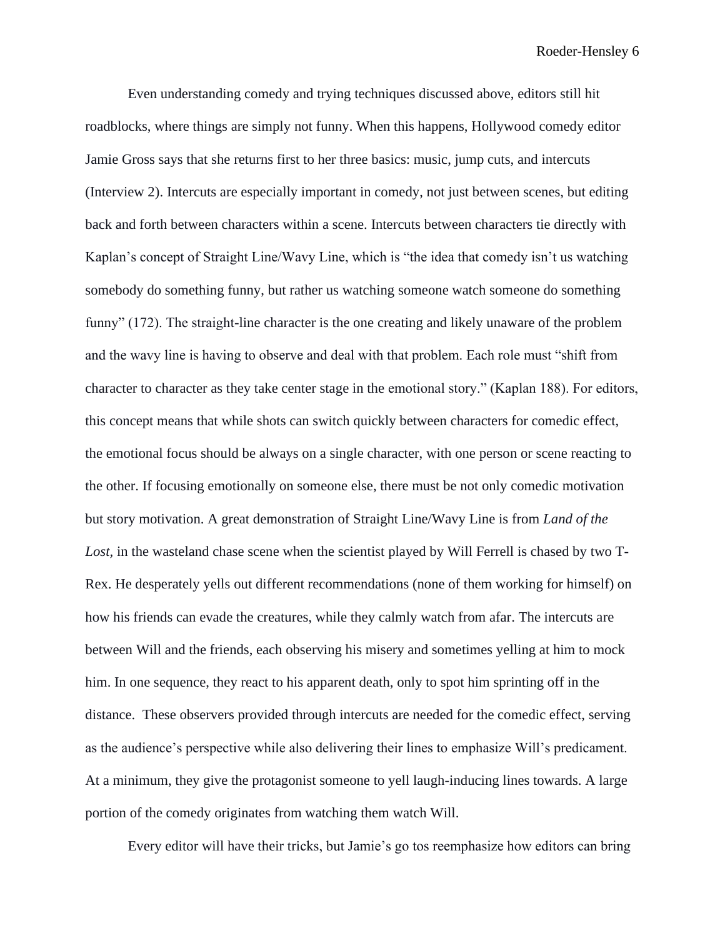Even understanding comedy and trying techniques discussed above, editors still hit roadblocks, where things are simply not funny. When this happens, Hollywood comedy editor Jamie Gross says that she returns first to her three basics: music, jump cuts, and intercuts (Interview 2). Intercuts are especially important in comedy, not just between scenes, but editing back and forth between characters within a scene. Intercuts between characters tie directly with Kaplan's concept of Straight Line/Wavy Line, which is "the idea that comedy isn't us watching somebody do something funny, but rather us watching someone watch someone do something funny" (172). The straight-line character is the one creating and likely unaware of the problem and the wavy line is having to observe and deal with that problem. Each role must "shift from character to character as they take center stage in the emotional story." (Kaplan 188). For editors, this concept means that while shots can switch quickly between characters for comedic effect, the emotional focus should be always on a single character, with one person or scene reacting to the other. If focusing emotionally on someone else, there must be not only comedic motivation but story motivation. A great demonstration of Straight Line/Wavy Line is from *Land of the*  Lost, in the wasteland chase scene when the scientist played by Will Ferrell is chased by two T-Rex. He desperately yells out different recommendations (none of them working for himself) on how his friends can evade the creatures, while they calmly watch from afar. The intercuts are between Will and the friends, each observing his misery and sometimes yelling at him to mock him. In one sequence, they react to his apparent death, only to spot him sprinting off in the distance. These observers provided through intercuts are needed for the comedic effect, serving as the audience's perspective while also delivering their lines to emphasize Will's predicament. At a minimum, they give the protagonist someone to yell laugh-inducing lines towards. A large portion of the comedy originates from watching them watch Will.

Every editor will have their tricks, but Jamie's go tos reemphasize how editors can bring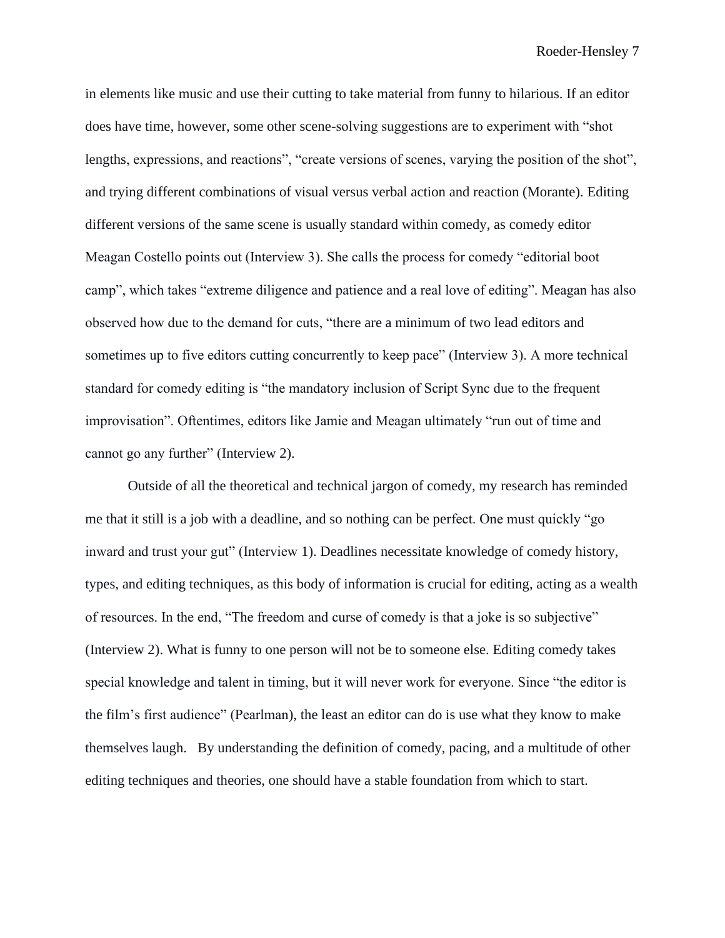in elements like music and use their cutting to take material from funny to hilarious. If an editor does have time, however, some other scene-solving suggestions are to experiment with "shot lengths, expressions, and reactions", "create versions of scenes, varying the position of the shot", and trying different combinations of visual versus verbal action and reaction (Morante). Editing different versions of the same scene is usually standard within comedy, as comedy editor Meagan Costello points out (Interview 3). She calls the process for comedy "editorial boot camp", which takes "extreme diligence and patience and a real love of editing". Meagan has also observed how due to the demand for cuts, "there are a minimum of two lead editors and sometimes up to five editors cutting concurrently to keep pace" (Interview 3). A more technical standard for comedy editing is "the mandatory inclusion of Script Sync due to the frequent improvisation". Oftentimes, editors like Jamie and Meagan ultimately "run out of time and cannot go any further" (Interview 2).

Outside of all the theoretical and technical jargon of comedy, my research has reminded me that it still is a job with a deadline, and so nothing can be perfect. One must quickly "go inward and trust your gut" (Interview 1). Deadlines necessitate knowledge of comedy history, types, and editing techniques, as this body of information is crucial for editing, acting as a wealth of resources. In the end, "The freedom and curse of comedy is that a joke is so subjective" (Interview 2). What is funny to one person will not be to someone else. Editing comedy takes special knowledge and talent in timing, but it will never work for everyone. Since "the editor is the film's first audience" (Pearlman), the least an editor can do is use what they know to make themselves laugh. By understanding the definition of comedy, pacing, and a multitude of other editing techniques and theories, one should have a stable foundation from which to start.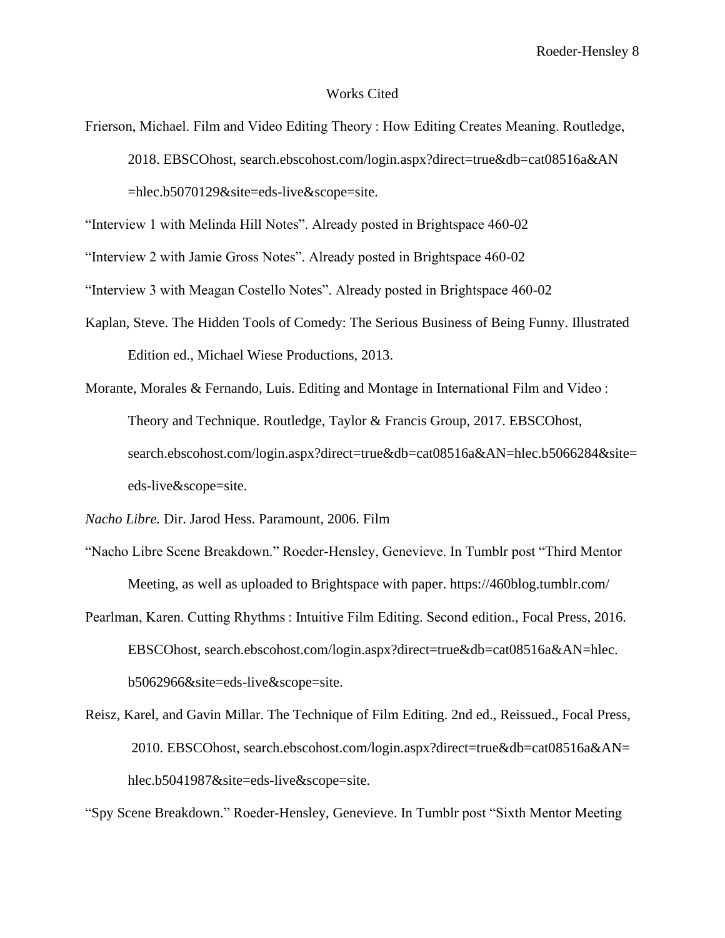### Works Cited

Frierson, Michael. Film and Video Editing Theory : How Editing Creates Meaning. Routledge, 2018. EBSCOhost, search.ebscohost.com/login.aspx?direct=true&db=cat08516a&AN =hlec.b5070129&site=eds-live&scope=site.

"Interview 1 with Melinda Hill Notes". Already posted in Brightspace 460-02

"Interview 2 with Jamie Gross Notes". Already posted in Brightspace 460-02

"Interview 3 with Meagan Costello Notes". Already posted in Brightspace 460-02

- Kaplan, Steve. The Hidden Tools of Comedy: The Serious Business of Being Funny. Illustrated Edition ed., Michael Wiese Productions, 2013.
- Morante, Morales & Fernando, Luis. Editing and Montage in International Film and Video : Theory and Technique. Routledge, Taylor & Francis Group, 2017. EBSCOhost, search.ebscohost.com/login.aspx?direct=true&db=cat08516a&AN=hlec.b5066284&site= eds-live&scope=site.

*Nacho Libre.* Dir. Jarod Hess. Paramount, 2006. Film

- "Nacho Libre Scene Breakdown." Roeder-Hensley, Genevieve. In Tumblr post "Third Mentor Meeting, as well as uploaded to Brightspace with paper. https://460blog.tumblr.com/
- Pearlman, Karen. Cutting Rhythms : Intuitive Film Editing. Second edition., Focal Press, 2016. EBSCOhost, search.ebscohost.com/login.aspx?direct=true&db=cat08516a&AN=hlec. b5062966&site=eds-live&scope=site.
- Reisz, Karel, and Gavin Millar. The Technique of Film Editing. 2nd ed., Reissued., Focal Press, 2010. EBSCOhost, search.ebscohost.com/login.aspx?direct=true&db=cat08516a&AN= hlec.b5041987&site=eds-live&scope=site.

"Spy Scene Breakdown." Roeder-Hensley, Genevieve. In Tumblr post "Sixth Mentor Meeting